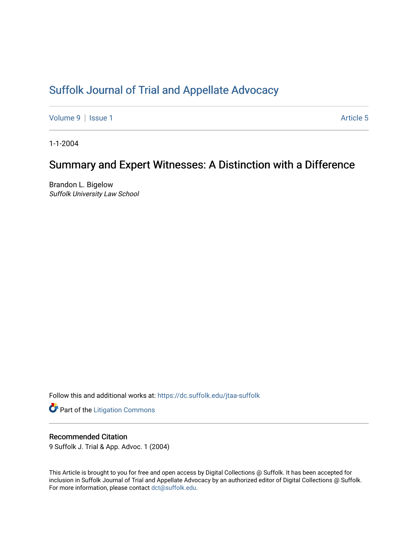# [Suffolk Journal of Trial and Appellate Advocacy](https://dc.suffolk.edu/jtaa-suffolk)

[Volume 9](https://dc.suffolk.edu/jtaa-suffolk/vol9) | [Issue 1](https://dc.suffolk.edu/jtaa-suffolk/vol9/iss1) Article 5

1-1-2004

# Summary and Expert Witnesses: A Distinction with a Difference

Brandon L. Bigelow Suffolk University Law School

Follow this and additional works at: [https://dc.suffolk.edu/jtaa-suffolk](https://dc.suffolk.edu/jtaa-suffolk?utm_source=dc.suffolk.edu%2Fjtaa-suffolk%2Fvol9%2Fiss1%2F5&utm_medium=PDF&utm_campaign=PDFCoverPages) 

**Part of the [Litigation Commons](https://network.bepress.com/hgg/discipline/910?utm_source=dc.suffolk.edu%2Fjtaa-suffolk%2Fvol9%2Fiss1%2F5&utm_medium=PDF&utm_campaign=PDFCoverPages)** 

## Recommended Citation

9 Suffolk J. Trial & App. Advoc. 1 (2004)

This Article is brought to you for free and open access by Digital Collections @ Suffolk. It has been accepted for inclusion in Suffolk Journal of Trial and Appellate Advocacy by an authorized editor of Digital Collections @ Suffolk. For more information, please contact [dct@suffolk.edu](mailto:dct@suffolk.edu).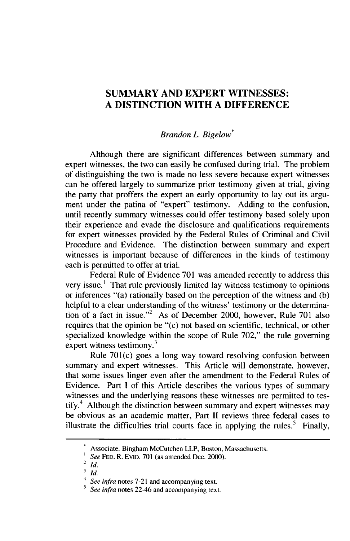## **SUMMARY AND EXPERT WITNESSES: A DISTINCTION WITH A DIFFERENCE**

### *Brandon L. Bigelow\**

Although there are significant differences between summary and expert witnesses, the two can easily be confused during trial. The problem of distinguishing the two is made no less severe because expert witnesses can be offered largely to summarize prior testimony given at trial, giving the party that proffers the expert an early opportunity to lay out its argument under the patina of "expert" testimony. Adding to the confusion, until recently summary witnesses could offer testimony based solely upon their experience and evade the disclosure and qualifications requirements for expert witnesses provided by the Federal Rules of Criminal and Civil Procedure and Evidence. The distinction between summary and expert witnesses is important because of differences in the kinds of testimony each is permitted to offer at trial.

Federal Rule of Evidence 701 was amended recently to address this very issue.' That rule previously limited lay witness testimony to opinions or inferences "(a) rationally based on the perception of the witness and (b) helpful to a clear understanding of the witness' testimony or the determination of a fact in issue."<sup>2</sup> As of December 2000, however, Rule 701 also requires that the opinion be "(c) not based on scientific, technical, or other specialized knowledge within the scope of Rule 702," the rule governing expert witness testimony. $3$ 

Rule 701(c) goes a long way toward resolving confusion between summary and expert witnesses. This Article will demonstrate, however, that some issues linger even after the amendment to the Federal Rules of Evidence. Part I of this Article describes the various types of summary witnesses and the underlying reasons these witnesses are permitted to testify.<sup>4</sup> Although the distinction between summary and expert witnesses may be obvious as an academic matter, Part **II** reviews three federal cases to illustrate the difficulties trial courts face in applying the rules.<sup>5</sup> Finally,

Associate, Bingham McCutchen LLP, Boston, Massachusetts.

*See* **FED.** R. EvID. 701 (as amended Dec. 2000).

<sup>2</sup> *id.*

**<sup>3</sup>** *Id.*

<sup>4</sup>*See infra* notes 7-21 and accompanying text.

**<sup>5</sup>** *See infra* notes 22-46 and accompanying text.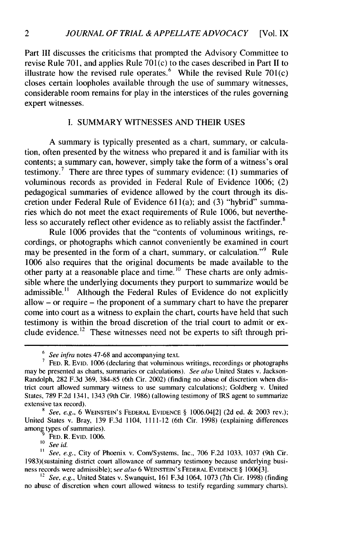Part III discusses the criticisms that prompted the Advisory Committee to revise Rule 701, and applies Rule **701** (c) to the cases described in Part II to illustrate how the revised rule operates.<sup>6</sup> While the revised Rule 701(c) closes certain loopholes available through the use of summary witnesses, considerable room remains for play in the interstices of the rules governing expert witnesses.

#### I. SUMMARY WITNESSES AND THEIR USES

A summary is typically presented as a chart, summary, or calculation, often presented by the witness who prepared it and is familiar with its contents; a summary can, however, simply take the form of a witness's oral testimony.<sup>7</sup> There are three types of summary evidence: (1) summaries of voluminous records as provided in Federal Rule of Evidence 1006; (2) pedagogical summaries of evidence allowed by the court through its discretion under Federal Rule of Evidence 61 1(a); and (3) "hybrid" summaries which do not meet the exact requirements of Rule 1006, but nevertheless so accurately reflect other evidence as to reliably assist the factfinder. $<sup>8</sup>$ </sup>

Rule 1006 provides that the "contents of voluminous writings, recordings, or photographs which cannot conveniently be examined in court may be presented in the form of a chart, summary, or calculation."<sup>9</sup> Rule 1006 also requires that the original documents be made available to the other party at a reasonable place and time.<sup>10</sup> These charts are only admissible where the underlying documents they purport to summarize would be admissible." Although the Federal Rules of Evidence do not explicitly allow - or require - the proponent of a summary chart to have the preparer come into court as a witness to explain the chart, courts have held that such testimony is within the broad discretion of the trial court to admit or exclude evidence.<sup>12</sup> These witnesses need not be experts to sift through pri-

FED. R. EVID. 1006.

**'o** *See id.*

<sup>11</sup> *See, e.g., City of Phoenix v. Com/Systems, Inc., 706 F.2d 1033, 1037 (9th Cir.* 1983)(sustaining district court allowance of summary testimony because underlying business records were admissible); *see also* 6 WEINSTEIN'S FEDERAL EVIDENCE § 1006[3].

**<sup>12</sup>***See, e.g.,* United States v. Swanquist, 161 F.3d 1064, 1073 (7th Cir. 1998) (finding no abuse of discretion when court allowed witness to testify regarding summary charts).

<sup>&</sup>lt;sup>6</sup> See infra notes 47-68 and accompanying text.

**<sup>7</sup> FED.** R. EvID. 1006 (declaring that voluminous writings, recordings or photographs may be presented as charts, summaries or calculations). *See also* United States v. Jackson-Randolph, 282 F.3d 369, 384-85 (6th Cir. 2002) (finding no abuse of discretion when district court allowed summary witness to use summary calculations); Goldberg v. United States, 789 F.2d 1341, 1343 (9th Cir. 1986) (allowing testimony of IRS agent to summarize extensive tax record).

 $8$ <sup>*See, e.g.,* 6 WEINSTEIN'S FEDERAL EVIDENCE  $\S$  1006.04[2] (2d ed. & 2003 rev.);</sup> United States v. Bray, 139 F.3d 1104, 1111-12 (6th Cir. 1998) (explaining differences among types of summaries).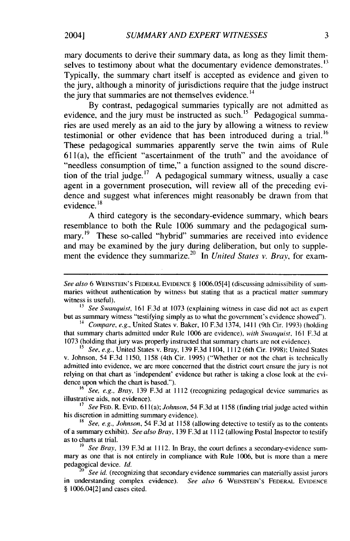mary documents to derive their summary data, as long as they limit themselves to testimony about what the documentary evidence demonstrates.<sup>13</sup> Typically, the summary chart itself is accepted as evidence and given to the jury, although a minority of jurisdictions require that the judge instruct the jury that summaries are not themselves evidence.<sup>14</sup>

By contrast, pedagogical summaries typically are not admitted as evidence, and the jury must be instructed as such.<sup>15</sup> Pedagogical summaries are used merely as an aid to the jury by allowing a witness to review testimonial or other evidence that has been introduced during a trial.<sup>16</sup> These pedagogical summaries apparently serve the twin aims of Rule 611(a), the efficient "ascertainment of the truth" and the avoidance of "needless consumption of time," a function assigned to the sound discretion of the trial judge.<sup>17</sup> A pedagogical summary witness, usually a case agent in a government prosecution, will review all of the preceding evidence and suggest what inferences might reasonably be drawn from that evidence.<sup>18</sup>

A third category is the secondary-evidence summary, which bears resemblance to both the Rule 1006 summary and the pedagogical summary.<sup>19</sup> These so-called "hybrid" summaries are received into evidence and may be examined by the jury during deliberation, but only to supplement the evidence they summarize.<sup>20</sup> In *United States v. Bray*, for exam-

<sup>16</sup>*See, e.g., Bray,* 139 F.3d at 1112 (recognizing pedagogical device summaries as illustrative aids, not evidence).

*<sup>17</sup>See* **FED.** R. EVID. **611** (a); *Johnson,* 54 F.3d at 1158 (finding trial judge acted within his discretion in admitting summary evidence).

2004]

*See also* 6 WEINSTEIN'S FEDERAL EVIDENCE § 1006.05[4] (discussing admissibility of summaries without authentication by witness but stating that as a practical matter summary witness is useful).

*<sup>13</sup>See Swanquist,* 161 F.3d at 1073 (explaining witness in case did not act as expert but as summary witness "testifying simply as to what the government's evidence showed").

*<sup>14</sup>Compare, e.g.,* United States v. Baker, 10 F.3d 1374, 1411 (9th Cir. 1993) (holding that summary charts admitted under Rule 1006 are evidence), *with Swanquist,* 161 F.3d at 1073 (holding that jury was properly instructed that summary charts are not evidence).

**<sup>&#</sup>x27;5** *See, e.g.,* United States v. Bray, 139 F.3d 1104, 1112 (6th Cir. 1998); United States v. Johnson, 54 F.3d 1150, 1158 (4th Cir. 1995) ("Whether or not the chart is technically admitted into evidence, we are more concerned that the district court ensure the jury is not relying on that chart as 'independent' evidence but rather is taking a close look at the evidence upon which the chart is based.").

**<sup>&#</sup>x27;8** *See, e.g., Johnson,* 54 F.3d at 1158 (allowing detective to testify as to the contents of a summary exhibit). *See also Bray,* 139 F.3d at 1112 (allowing Postal Inspector to testify as to charts at trial.

*<sup>19</sup> See Bray,* 139 F.3d at 1112. In Bray, the court defines a secondary-evidence summary as one that is not entirely in compliance with Rule 1006, but is more than a mere pedagogical device. *Id.*

<sup>&</sup>lt;sup>20</sup> See id. (recognizing that secondary evidence summaries can materially assist jurors in understanding complex evidence). *See also* 6 WEINSTEIN'S FEDERAL EVIDENCE § 1006.04[2] and cases cited.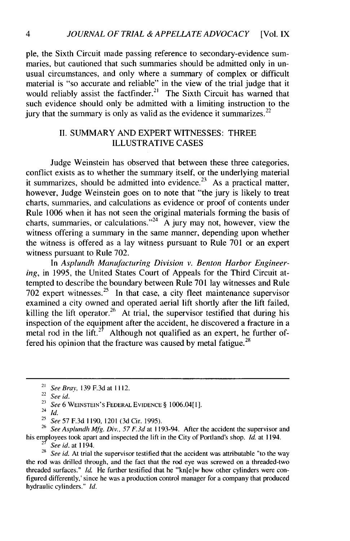pie, the Sixth Circuit made passing reference to secondary-evidence summaries, but cautioned that such summaries should be admitted only in unusual circumstances, and only where a summary of complex or difficult material is "so accurate and reliable" in the view of the trial judge that it would reliably assist the factfinder.<sup>21</sup> The Sixth Circuit has warned that such evidence should only be admitted with a limiting instruction to the jury that the summary is only as valid as the evidence it summarizes.  $2^2$ 

### II. SUMMARY AND EXPERT WITNESSES: THREE ILLUSTRATIVE CASES

Judge Weinstein has observed that between these three categories, conflict exists as to whether the summary itself, or the underlying material it summarizes, should be admitted into evidence.<sup>23</sup> As a practical matter, however, Judge Weinstein goes on to note that "the jury is likely to treat charts, summaries, and calculations as evidence or proof of contents under Rule 1006 when it has not seen the original materials forming the basis of charts, summaries, or calculations."<sup>24</sup> A jury may not, however, view the witness offering a summary in the same manner, depending upon whether the witness is offered as a lay witness pursuant to Rule 701 or an expert witness pursuant to Rule 702.

In *Asplundh Manufacturing Division v. Benton Harbor Engineering,* in 1995, the United States Court of Appeals for the Third Circuit attempted to describe the boundary between Rule 701 lay witnesses and Rule  $702$  expert witnesses.<sup>25</sup> In that case, a city fleet maintenance supervisor examined a city owned and operated aerial lift shortly after the lift failed, killing the lift operator.<sup>26</sup> At trial, the supervisor testified that during his inspection of the equipment after the accident, he discovered a fracture in a metal rod in the lift.<sup>27</sup> Although not qualified as an expert, he further offered his opinion that the fracture was caused by metal fatigue.<sup>28</sup>

**26** See Asplundh Mfg. Div., 57 F.3d at 1193-94. After the accident the supervisor and his employees took apart and inspected the lift in the City of Portland's shop. *Id.* at 1194.

7 *See id.* at 1194.

<sup>28</sup> See id. At trial the supervisor testified that the accident was attributable "to the way the rod was drilled through, and the fact that the rod eye was screwed on a threaded-two threaded surfaces." *id.* He further testified that he "'kn[e]w how other cylinders were configured differently,' since he was a production control manager for a company that produced hydraulic cylinders." *Id.*

<sup>21</sup>*See* Bray, **139** F.3d at 1112.

<sup>22</sup>*See id.*

**<sup>23</sup>** *See* 6 WEINSTEIN'S FEDERAL EVIDENCE § 1006.04[ 1].

 $\int_{24}^{2} \frac{6}{1} \, dt$ .

<sup>&</sup>lt;sup>25</sup> See 57 F.3d 1190, 1201 (3d Cir. 1995).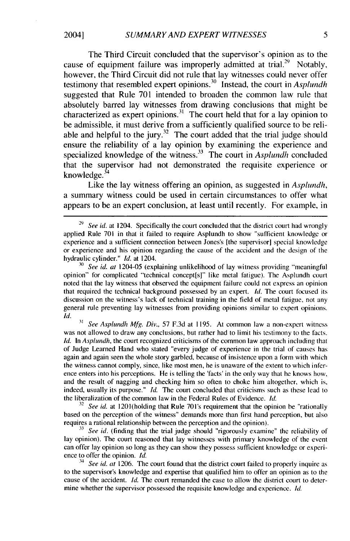The Third Circuit concluded that the supervisor's opinion as to the cause of equipment failure was improperly admitted at trial.<sup>29</sup> Notably, however, the Third Circuit did not rule that lay witnesses could never offer testimony that resembled expert opinions.<sup>30</sup> Instead, the court in *Asplundh* suggested that Rule 701 intended to broaden the common law rule that absolutely barred lay witnesses from drawing conclusions that might be characterized as expert opinions.<sup>31</sup> The court held that for a lay opinion to be admissible, it must derive from a sufficiently qualified source to be reliable and helpful to the jury.<sup>32</sup> The court added that the trial judge should ensure the reliability of a lay opinion by examining the experience and specialized knowledge of the witness.<sup>33</sup> The court in *Asplundh* concluded that the supervisor had not demonstrated the requisite experience or knowledge. $34$ 

Like the lay witness offering an opinion, as suggested in *Asplundh,* a summary witness could be used in certain circumstances to offer what appears to be an expert conclusion, at least until recently. For example, in

<sup>30</sup>*See id. at* 1204-05 (explaining unlikelihood of lay witness providing "meaningful opinion" for complicated "technical concept[s]" like metal fatigue). The Asplundh court noted that the lay witness that observed the equipment failure could not express an opinion that required the technical background possessed by an expert. */d.* The court focused its discussion on the witness's lack of technical training in the field of metal fatigue, not any general rule preventing lay witnesses from providing opinions similar to expert opinions. *Id.*

**<sup>31</sup>***See Asplundh Mfg. Div.,* 57 F.3d at 1195. At common law a non-expert witness was not allowed to draw any conclusions, but rather had to limit his testimony to the facts. *Id.* In *Asplundh*, the court recognized criticisms of the common law approach including that of Judge Learned Hand who stated "every judge of experience in the trial of causes has again and again seen the whole story garbled, because of insistence upon a form with which the witness cannot comply, since, like most men, he is unaware of the extent to which inference enters into his perceptions. He is telling the 'facts' in the only way that he knows how, and the result of nagging and checking him so often to choke him altogether, which **is,** indeed, usually its purpose." *Id.* The court concluded that criticisms such as these lead to the liberalization of the common law in the Federal Rules of Evidence. *Id.*

<sup>32</sup> See id. at 1201(holding that Rule 701's requirement that the opinion be "rationally based on the perception of the witness" demands more than first hand perception, but also requires a rational relationship between the perception and the opinion).

**33** *See id.* (finding that the trial judge should "rigorously examine" the reliability of lay opinion). The court reasoned that lay witnesses with primary knowledge of the event can offer lay opinion so long as they can show they possess sufficient knowledge or experience to offer the opinion. *Id.*

<sup>34</sup> See id. at 1206. The court found that the district court failed to properly inquire as to the supervisor's knowledge and expertise that qualified him to offer an opinion as to the cause of the accident. *Id.* The court remanded the case to allow the district court to determine whether the supervisor possessed the requisite knowledge and experience. *Id.*

20041

<sup>&</sup>lt;sup>29</sup> See id. at 1204. Specifically the court concluded that the district court had wrongly applied Rule 701 in that it failed to require Asplundh to show "sufficient knowledge or experience and a sufficient connection between Jones's [the supervisor] special knowledge or experience and his opinion regarding the cause of the accident and the design of the hydraulic cylinder." *Id.* at 1204.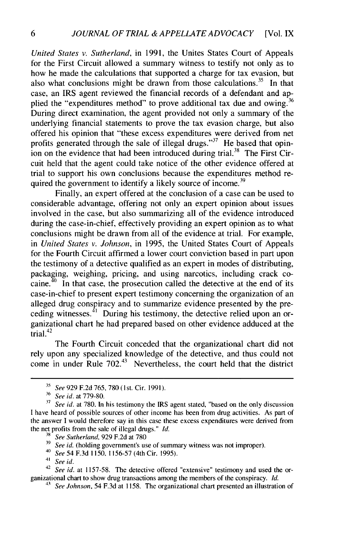*United States v. Sutherland,* in 1991, the Unites States Court of Appeals for the First Circuit allowed a summary witness to testify not only as to how he made the calculations that supported a charge for tax evasion, but also what conclusions might be drawn from those calculations.<sup>35</sup> In that case, an IRS agent reviewed the financial records of a defendant and applied the "expenditures method" to prove additional tax due and owing.  $36$ During direct examination, the agent provided not only a summary of the underlying financial statements to prove the tax evasion charge, but also offered his opinion that "these excess expenditures were derived from net profits generated through the sale of illegal drugs."<sup>37</sup> He based that opinion on the evidence that had been introduced during trial.<sup>38</sup> The First Circuit held that the agent could take notice of the other evidence offered at trial to support his own conclusions because the expenditures method required the government to identify a likely source of income.<sup>39</sup>

Finally, an expert offered at the conclusion of a case can be used to considerable advantage, offering not only an expert opinion about issues involved in the case, but also summarizing all of the evidence introduced during the case-in-chief, effectively providing an expert opinion as to what conclusions might be drawn from all of the evidence at trial. For example, in *United States v. Johnson,* in 1995, the United States Court of Appeals for the Fourth Circuit affirmed a lower court conviction based in part upon the testimony of a detective qualified as an expert in modes of distributing, packaging, weighing, pricing, and using narcotics, including crack cocaine.  $40$  In that case, the prosecution called the detective at the end of its case-in-chief to present expert testimony concerning the organization of an alleged drug conspiracy and to summarize evidence presented by the preceding witnesses. $^{41}$  During his testimony, the detective relied upon an organizational chart he had prepared based on other evidence adduced at the  $\frac{1}{42}$ 

The Fourth Circuit conceded that the organizational chart did not rely upon any specialized knowledge of the detective, and thus could not come in under Rule  $702<sup>43</sup>$  Nevertheless, the court held that the district

**<sup>35</sup>** See 929 F.2d 765, <sup>7</sup> 8 <sup>0</sup>(lst. Cir. 1991).

**<sup>36</sup>** See id. at 779-80.

<sup>&</sup>lt;sup>37</sup> See id. at 780. In his testimony the IRS agent stated, "based on the only discussion I have heard of possible sources of other income has been from drug activities. As part of the answer I would therefore say in this case these excess expenditures were derived from the net profits from the sale of illegal drugs." **Id.**

<sup>&</sup>lt;sup>38</sup> *See Sutherland*, 929 F.2d at 780

See *id.* (holding government's use of summary witness was not improper).

<sup>40</sup> See 54 F.3d 1150, 1156-57 (4th Cir. 1995).

<sup>41</sup> See id.

<sup>&</sup>lt;sup>42</sup> *See id.* at 1157-58. The detective offered "extensive" testimony and used the organizational chart to show drug transactions among the members of the conspiracy. *Id.*

<sup>43</sup> See *Johnson,* 54 F.3d at 1158. The organizational chart presented an illustration of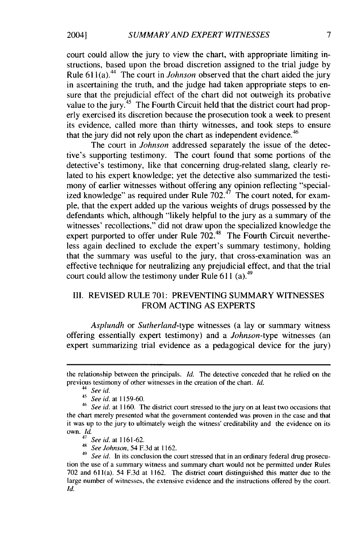court could allow the jury to view the chart, with appropriate limiting instructions, based upon the broad discretion assigned to the trial judge by Rule 611(a).<sup>44</sup> The court in *Johnson* observed that the chart aided the jury in ascertaining the truth, and the judge had taken appropriate steps to ensure that the prejudicial effect of the chart did not outweigh its probative value to the jury.<sup>45</sup> The Fourth Circuit held that the district court had properly exercised its discretion because the prosecution took a week to present its evidence, called more than thirty witnesses, and took steps to ensure that the jury did not rely upon the chart as independent evidence.<sup>46</sup>

The court in *Johnson* addressed separately the issue of the detective's supporting testimony. The court found that some portions of the detective's testimony, like that concerning drug-related slang, clearly related to his expert knowledge; yet the detective also summarized the testimony of earlier witnesses without offering any opinion reflecting "specialized knowledge" as required under Rule  $702<sup>47</sup>$  The court noted, for example, that the expert added up the various weights of drugs possessed by the defendants which, although "likely helpful to the jury as a summary of the witnesses' recollections," did not draw upon the specialized knowledge the expert purported to offer under Rule  $702^{48}$  The Fourth Circuit nevertheless again declined to exclude the expert's summary testimony, holding that the summary was useful to the jury, that cross-examination was an effective technique for neutralizing any prejudicial effect, and that the trial court could allow the testimony under Rule **611** (a). <sup>49</sup>

### III. REVISED RULE 701: PREVENTING SUMMARY WITNESSES FROM ACTING AS EXPERTS

*Asplundh* or *Sutherland-type* witnesses (a lay or summary witness offering essentially expert testimony) and a *Johnson-type* witnesses (an expert summarizing trial evidence as a pedagogical device for the jury)

2004]

the relationship between the principals. *Id.* The detective conceded that he relied on the previous testimony of other witnesses in the creation of the chart. *Id.*

*<sup>44</sup>See id.*

<sup>45</sup>*See id.* at 1159-60.

<sup>46</sup>*See id.* at 1160. The district court stressed to the jury on at least two occasions that the chart merely presented what the government contended was proven in the case and that it was up to the jury to ultimately weigh the witness' creditability and the evidence on its own. *Id.*

<sup>47</sup>*See id.* at 1161-62.

<sup>48</sup>*See Johnson,* 54 F.3d at 1162.

<sup>&</sup>lt;sup>49</sup> See id. In its conclusion the court stressed that in an ordinary federal drug prosecution the use of a summary witness and summary chart would not be permitted under Rules 702 and 611(a). 54 F.3d at 1162. The district court distinguished this matter due to the large number of witnesses, the extensive evidence and the instructions offered by the court. Id.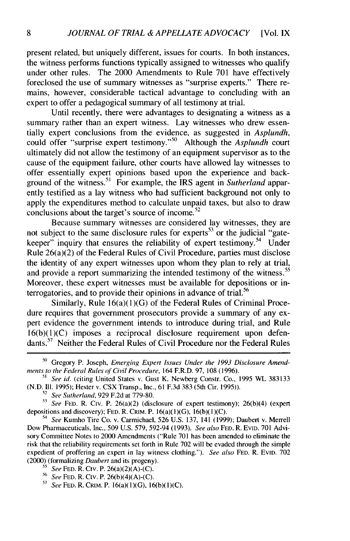present related, but uniquely different, issues for courts. In both instances, the witness performs functions typically assigned to witnesses who qualify under other rules. The 2000 Amendments to Rule 701 have effectively foreclosed the use of summary witnesses as "surprise experts." There remains, however, considerable tactical advantage to concluding with an expert to offer a pedagogical summary of all testimony at trial.

Until recently, there were advantages to designating a witness as a summary rather than an expert witness. Lay witnesses who drew essentially expert conclusions from the evidence, as suggested in *Asplundh,* could offer "surprise expert testimony."<sup>50</sup> Although the *Asplundh* court ultimately did not allow the testimony of an equipment supervisor as to the cause of the equipment failure, other courts have allowed lay witnesses to offer essentially expert opinions based upon the experience and background of the witness.<sup>51</sup> For example, the IRS agent in *Sutherland* apparently testified as a lay witness who had sufficient background not only to apply the expenditures method to calculate unpaid taxes, but also to draw conclusions about the target's source of income.<sup>52</sup>

Because summary witnesses are considered lay witnesses, they are not subject to the same disclosure rules for experts<sup>53</sup> or the judicial "gatekeeper" inquiry that ensures the reliability of expert testimony.<sup>54</sup> Under Rule 26(a)(2) of the Federal Rules of Civil Procedure, parties must disclose the identity of any expert witnesses upon whom they plan to rely at trial, and provide a report summarizing the intended testimony of the witness.<sup>55</sup> Moreover, these expert witnesses must be available for depositions or interrogatories, and to provide their opinions in advance of trial.<sup>56</sup>

Similarly, Rule  $16(a)(1)(G)$  of the Federal Rules of Criminal Procedure requires that government prosecutors provide a summary of any expert evidence the government intends to introduce during trial, and Rule  $16(b)(1)(C)$  imposes a reciprocal disclosure requirement upon defendants.<sup>57</sup> Neither the Federal Rules of Civil Procedure nor the Federal Rules

*" See* Kumho Tire Co. v. Carmichael, 526 U.S. 137, 141 (1999); Daubert v. Merrell Dow Pharmaceuticals, Inc., 509 U.S. 579, 592-94 (1993). *See also* **FED.** R. EVID. 701 Advisory Committee Notes to 2000 Amendments ("Rule 701 has been amended to eliminate the risk that the reliability requirements set forth in Rule 702 will be evaded through the simple expedient of proffering an expert in lay witness clothing."). *See also* **FED.** R. EvID. 702 (2000) (formalizing *Daubert* and its progeny).

*5- See* **FED.** R. Civ. P. 26(a)(2)(A)-(C).

*57 See* **FED.** R. CRIM. P. 16(a)(l)(G), 16(b)(l)(C).

<sup>50</sup> Gregory P. Joseph, *Emerging Expert Issues Under the 1993 Disclosure Amendments to the Federal Rules of Civil Procedure,* 164 F.R.D. 97, 108 (1996).

*<sup>51</sup> See id.* (citing United States v. Gust K. Newberg Constr. Co., 1995 WL 383133 (N.D. Il. 1995); Hester v. CSX Transp., Inc., 61 F.3d 383 (5th Cir. 1995)).

<sup>52</sup> *See Sutherland,* 929 F.2d at 779-80.

*<sup>&#</sup>x27;3 See* **FED.** R. Civ. P. 26(a)(2) (disclosure of expert testimony); 26(b)(4) (expert depositions and discovery); **FED.** R. CRIM. P. 16(a)( 1 )(G), 16(b)( **1** )(C).

<sup>56</sup> *See* **FED.** R. Civ. P. 26(b)(4)(A)-(C).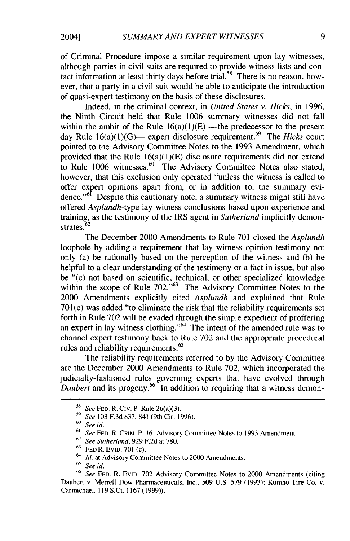of Criminal Procedure impose a similar requirement upon lay witnesses, although parties in civil suits are required to provide witness lists and contact information at least thirty days before trial.<sup>58</sup> There is no reason, however, that a party in a civil suit would be able to anticipate the introduction of quasi-expert testimony on the basis of these disclosures.

Indeed, in the criminal context, in *United States v. Hicks,* in 1996, the Ninth Circuit held that Rule 1006 summary witnesses did not fall within the ambit of the Rule  $16(a)(1)(E)$  —the predecessor to the present day Rule 16(a)(1)(G)— expert disclosure requirement.<sup>59</sup> The *Hicks* court pointed to the Advisory Committee Notes to the 1993 Amendment, which provided that the Rule  $16(a)(1)(E)$  disclosure requirements did not extend to Rule 1006 witnesses. $60$  The Advisory Committee Notes also stated, however, that this exclusion only operated "unless the witness is called to offer expert opinions apart from, or in addition to, the summary evidence."<sup>61</sup> Despite this cautionary note, a summary witness might still have offered *Asplundh-type* lay witness conclusions based upon experience and training, as the testimony of the IRS agent in *Sutherland* implicitly demon-**<sup>62</sup>** strates. <sup>62</sup>

The December 2000 Amendments to Rule 701 closed the *Asplundh* loophole by adding a requirement that lay witness opinion testimony not only (a) be rationally based on the perception of the witness and (b) be helpful to a clear understanding of the testimony or a fact in issue, but also be "(c) not based on scientific, technical, or other specialized knowledge within the scope of Rule 702."<sup>63</sup> The Advisory Committee Notes to the 2000 Amendments explicitly cited *Asplundh* and explained that Rule 701(c) was added "to eliminate the risk that the reliability requirements set forth in Rule 702 will be evaded through the simple expedient of proffering an expert in lay witness clothing." $64$  The intent of the amended rule was to channel expert testimony back to Rule 702 and the appropriate procedural rules and reliability requirements.<sup>65</sup>

The reliability requirements referred to by the Advisory Committee are the December 2000 Amendments to Rule 702, which incorporated the judicially-fashioned rules governing experts that have evolved through Daubert and its progeny.<sup>66</sup> In addition to requiring that a witness demon-

<sup>58</sup> *See* FED. R. Civ. P. Rule 26(a)(3).

*<sup>&#</sup>x27;9 See* 103 F.3d 837, 841 (9th Cir. 1996).

*<sup>60</sup>See id.*

**<sup>61</sup>** *See* **FED.** R. CRIM. P. 16, Advisory Committee Notes to 1993 Amendment.

**<sup>62</sup>***See Sutherland,* 929 F.2d at 780.

<sup>63</sup> FED R. EvID. 701 (c).

*<sup>64</sup>Id.* at Advisory Committee Notes to 2000 Amendments.

<sup>65</sup>*See id.*

*<sup>66</sup>See* FED. R. EVID. 702 Advisory Committee Notes to 2000 Amendments (citing Daubert v. Merrell Dow Pharmaceuticals, Inc., 509 U.S. 579 (1993); Kumho Tire Co. v. Carmichael, 119 S.Ct. 1167 (1999)).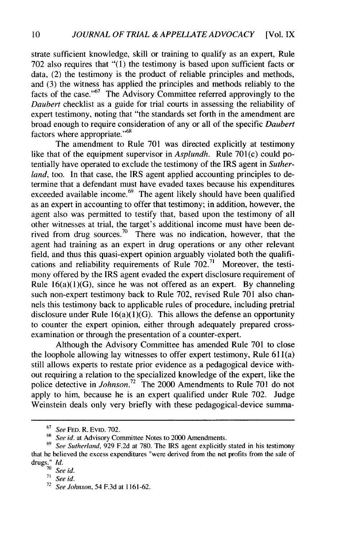strate sufficient knowledge, skill or training to qualify as an expert, Rule 702 also requires that "(1) the testimony is based upon sufficient facts or data, (2) the testimony is the product of reliable principles and methods, and (3) the witness has applied the principles and methods reliably to the facts of the case."<sup>67</sup> The Advisory Committee referred approvingly to the *Daubert* checklist as a guide for trial courts in assessing the reliability of expert testimony, noting that "the standards set forth in the amendment are broad enough to require consideration of any or all of the specific *Daubert* factors where appropriate."<sup>68</sup>

The amendment to Rule 701 was directed explicitly at testimony like that of the equipment supervisor in *Asplundh*. Rule 701(c) could potentially have operated to exclude the testimony of the IRS agent in *Sutherland*, too. In that case, the IRS agent applied accounting principles to determine that a defendant must have evaded taxes because his expenditures exceeded available income. $69$  The agent likely should have been qualified as an expert in accounting to offer that testimony; in addition, however, the agent also was permitted to testify that, based upon the testimony of all other witnesses at trial, the target's additional income must have been derived from drug sources.<sup>70</sup> There was no indication, however, that the agent had training as an expert in drug operations or any other relevant field, and thus this quasi-expert opinion arguably violated both the qualifications and reliability requirements of Rule 702.<sup>71</sup> Moreover, the testimony offered by the IRS agent evaded the expert disclosure requirement of Rule  $16(a)(1)(G)$ , since he was not offered as an expert. By channeling such non-expert testimony back to Rule 702, revised Rule 701 also channels this testimony back to applicable rules of procedure, including pretrial disclosure under Rule  $16(a)(1)(G)$ . This allows the defense an opportunity to counter the expert opinion, either through adequately prepared crossexamination or through the presentation of a counter-expert.

Although the Advisory Committee has amended Rule 701 to close the loophole allowing lay witnesses to offer expert testimony, Rule 61 1(a) still allows experts to restate prior evidence as a pedagogical device without requiring a relation to the specialized knowledge of the expert, like the police detective in *Johnson*.<sup>72</sup> The 2000 Amendments to Rule 701 do not apply to him, because he is an expert qualified under Rule 702. Judge Weinstein deals only very briefly with these pedagogical-device summa-

<sup>67</sup>*See* **FED.** R. EVID. 702.

See id. at Advisory Committee Notes to 2000 Amendments.

<sup>69</sup>*See Sutherland,* 929 F.2d at 780. The IRS agent explicitly stated in his testimony that he believed the excess expenditures "were derived from the net profits from the sale of drugs.' *Id.* **<sup>70</sup>***See id.*

**<sup>71</sup>** *See id.*

**<sup>72</sup>** *See Johnson,* 54 F.3d at 1161-62.